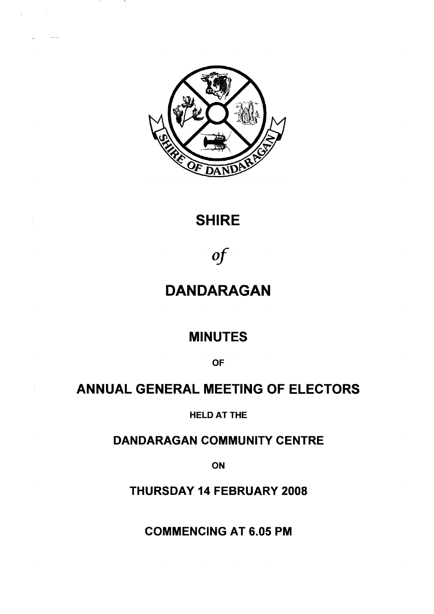

in Albert

 $\sim$   $\sim$ 

# **SHIRE**

# *of*

# **DANDARAGAN**

# **MINUTES**

**OF**

# **ANNUAL GENERAL MEETING OF ELECTORS**

**HELD AT THE**

**DANDARAGAN COMMUNITY CENTRE**

**ON**

**THURSDAY 14 FEBRUARY 2008**

**COMMENCING AT 6.05 PM**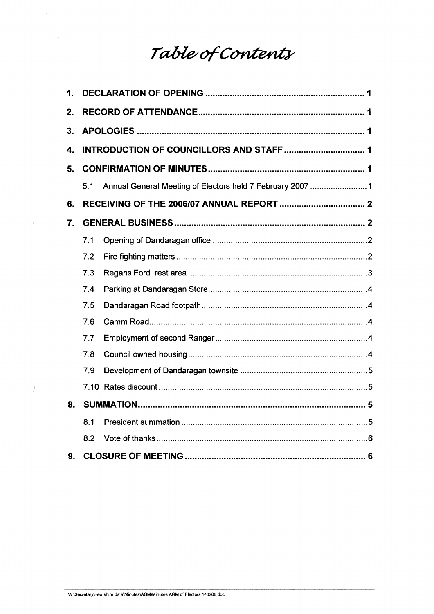# Table of Contents

 $\mathcal{L}_{\text{max}}$  , where  $\mathcal{L}_{\text{max}}$ 

 $\mathcal{L}^{\text{max}}$ 

 $\sim$   $\sim$ 

| 1. |     |                                                           |  |
|----|-----|-----------------------------------------------------------|--|
| 2. |     |                                                           |  |
| 3. |     |                                                           |  |
| 4. |     |                                                           |  |
| 5. |     |                                                           |  |
|    | 5.1 | Annual General Meeting of Electors held 7 February 2007 1 |  |
| 6. |     |                                                           |  |
| 7. |     |                                                           |  |
|    | 7.1 |                                                           |  |
|    | 7.2 |                                                           |  |
|    | 7.3 |                                                           |  |
|    | 7.4 |                                                           |  |
|    | 7.5 |                                                           |  |
|    | 7.6 |                                                           |  |
|    | 7.7 |                                                           |  |
|    | 7.8 |                                                           |  |
|    | 7.9 |                                                           |  |
|    |     |                                                           |  |
| 8. |     |                                                           |  |
|    | 8.1 |                                                           |  |
|    | 8.2 |                                                           |  |
| 9. |     |                                                           |  |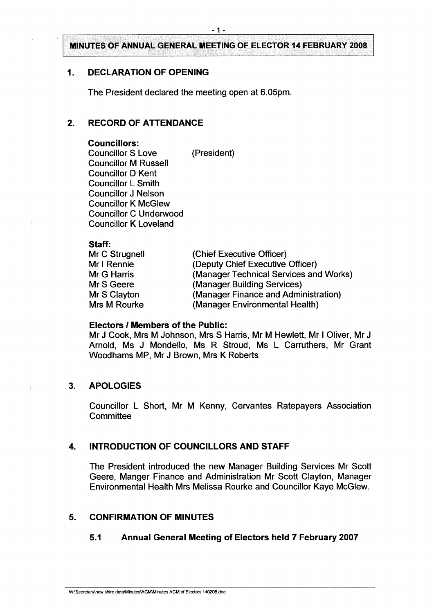### <span id="page-2-0"></span>**1. DECLARATION OF OPENING**

The President declared the meeting open at 6.05pm.

## <span id="page-2-1"></span>**2. RECORD OF ATTENDANCE**

#### **Councillors:**

Councillor S Love (President) Councillor M Russell Councillor D Kent Councillor L Smith Councillor J Nelson Councillor K McGlew Councillor C Underwood Councillor K Loveland

#### **Staff:**

| Mr C Strugnell     | (Chief Executive Officer)              |
|--------------------|----------------------------------------|
| Mr I Rennie        | (Deputy Chief Executive Officer)       |
| <b>Mr G Harris</b> | (Manager Technical Services and Works) |
| Mr S Geere         | (Manager Building Services)            |
| Mr S Clayton       | (Manager Finance and Administration)   |
| Mrs M Rourke       | (Manager Environmental Health)         |

#### **Electors / Members of the Public:**

Mr J Cook, Mrs M Johnson, Mrs S Harris, Mr M Hewlett, Mr <sup>I</sup> Oliver, Mr J Arnold, Ms J Mondello, Ms R Stroud, Ms L Carruthers, Mr Grant Woodhams MP, Mr J Brown, Mrs K Roberts

#### <span id="page-2-2"></span>**3. APOLOGIES**

Councillor L Short, Mr M Kenny, Cervantes Ratepayers Association **Committee** 

# <span id="page-2-3"></span>**4. INTRODUCTION OF COUNCILLORS AND STAFF**

The President introduced the new Manager Building Services Mr Scott Geere, Manger Finance and Administration Mr Scott Clayton, Manager Environmental Health Mrs Melissa Rourke and Councillor Kaye McGlew.

# <span id="page-2-5"></span><span id="page-2-4"></span>**5. CONFIRMATION OF MINUTES**

#### **5.1 Annual General Meeting of Electors held 7 February 2007**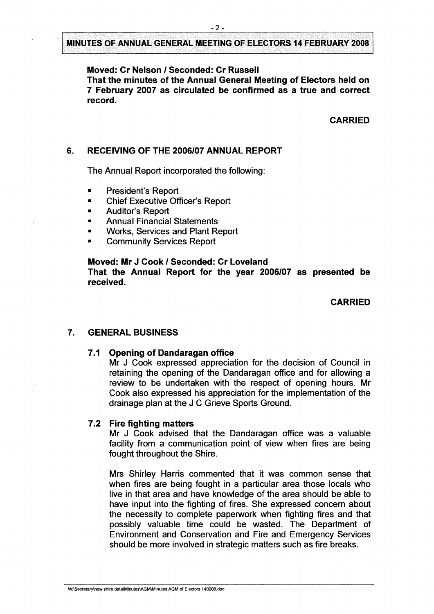#### **Moved: Cr Nelson / Seconded: Cr Russell**

**That the minutes of the Annual General Meeting of Electors held on 7 February 2007 as circulated be confirmed as a true and correct record.**

#### **CARRIED**

### <span id="page-3-0"></span>**6. RECEIVING OF THE 2006/07 ANNUAL REPORT**

The Annual Report incorporated the following:

- President's Report
- **Chief Executive Officer's Report**
- Auditor's Report
- Annual Financial Statements
- Works, Services and Plant Report
- Community Services Report

#### **Moved: Mr J Cook / Seconded: Cr Loveland**

**That the Annual Report for the year 2006/07 as presented be received.**

#### **CARRIED**

#### <span id="page-3-2"></span><span id="page-3-1"></span>**7. GENERAL BUSINESS**

#### **7.1 Opening of Dandaragan office**

Mr J Cook expressed appreciation for the decision of Council in retaining the opening of the Dandaragan office and for allowing a review to be undertaken with the respect of opening hours. Mr Cook also expressed his appreciation for the implementation of the drainage plan at the J C Grieve Sports Ground.

#### <span id="page-3-3"></span>**7.2 Fire fighting matters**

Mr J Cook advised that the Dandaragan office was a valuable facility from a communication point of view when fires are being fought throughout the Shire.

Mrs Shirley Harris commented that it was common sense that when fires are being fought in a particular area those locals who live in that area and have knowledge of the area should be able to have input into the fighting of fires. She expressed concern about the necessity to complete paperwork when fighting fires and that possibly valuable time could be wasted. The Department of Environment and Conservation and Fire and Emergency Services should be more involved in strategic matters such as fire breaks.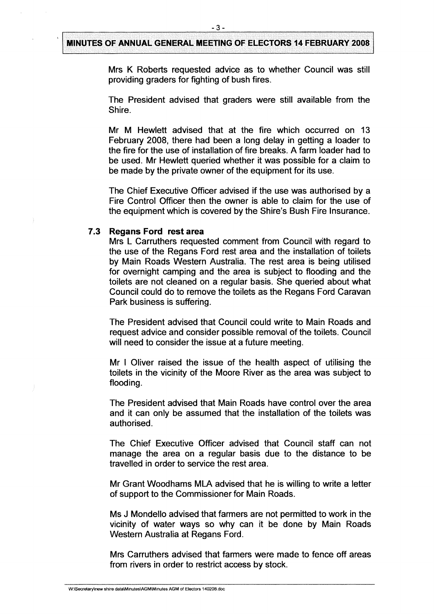Mrs K Roberts requested advice as to whether Council was still providing graders for fighting of bush fires.

The President advised that graders were still available from the Shire.

Mr M Hewlett advised that at the fire which occurred on 13 February 2008, there had been a long delay in getting a loader to the fire for the use of installation of fire breaks. A farm loader had to be used. Mr Hewlett queried whether it was possible for a claim to be made by the private owner of the equipment for its use.

The Chief Executive Officer advised if the use was authorised by a Fire Control Officer then the owner is able to claim for the use of the equipment which is covered by the Shire's Bush Fire Insurance.

#### <span id="page-4-0"></span>**7.3 Regans Ford rest area**

Mrs L Carruthers requested comment from Council with regard to the use of the Regans Ford rest area and the installation of toilets by Main Roads Western Australia. The rest area is being utilised for overnight camping and the area is subject to flooding and the toilets are not cleaned on a regular basis. She queried about what Council could do to remove the toilets as the Regans Ford Caravan Park business is suffering.

The President advised that Council could write to Main Roads and request advice and consider possible removal of the toilets. Council will need to consider the issue at a future meeting.

Mr <sup>I</sup> Oliver raised the issue of the health aspect of utilising the toilets in the vicinity of the Moore River as the area was subject to flooding.

The President advised that Main Roads have control over the area and it can only be assumed that the installation of the toilets was authorised.

The Chief Executive Officer advised that Council staff can not manage the area on a regular basis due to the distance to be travelled in order to service the rest area.

Mr Grant Woodhams MLA advised that he is willing to write a letter of support to the Commissioner for Main Roads.

Ms J Mondello advised that farmers are not permitted to work in the vicinity of water ways so why can it be done by Main Roads Western Australia at Regans Ford.

Mrs Carruthers advised that farmers were made to fence off areas from rivers in order to restrict access by stock.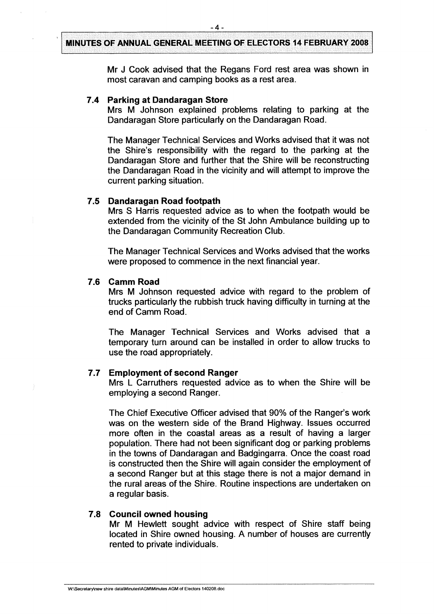-**4**-

Mr J Cook advised that the Regans Ford rest area was shown in most caravan and camping books as a rest area.

#### <span id="page-5-0"></span>**7.4 Parking at Dandaragan Store**

Mrs M Johnson explained problems relating to parking at the Dandaragan Store particularly on the Dandaragan Road.

The Manager Technical Services and Works advised that it was not the Shire's responsibility with the regard to the parking at the Dandaragan Store and further that the Shire will be reconstructing the Dandaragan Road in the vicinity and will attempt to improve the current parking situation.

#### <span id="page-5-1"></span>**7.5 Dandaragan Road footpath**

Mrs S Harris requested advice as to when the footpath would be extended from the vicinity of the St John Ambulance building up to the Dandaragan Community Recreation Club.

The Manager Technical Services and Works advised that the works were proposed to commence in the next financial year.

#### <span id="page-5-2"></span>**7.6 Camm Road**

Mrs M Johnson requested advice with regard to the problem of trucks particularly the rubbish truck having difficulty in turning at the end of Camm Road.

The Manager Technical Services and Works advised that a temporary turn around can be installed in order to allow trucks to use the road appropriately.

## <span id="page-5-3"></span>**7.7 Employment of second Ranger**

Mrs L Carruthers requested advice as to when the Shire will be employing a second Ranger.

The Chief Executive Officer advised that 90% of the Ranger's work was on the western side of the Brand Highway. Issues occurred more often in the coastal areas as a result of having a larger population. There had not been significant dog or parking problems in the towns of Dandaragan and Badgingarra. Once the coast road is constructed then the Shire will again consider the employment of a second Ranger but at this stage there is not a major demand in the rural areas of the Shire. Routine inspections are undertaken on a regular basis.

#### <span id="page-5-4"></span>**7.8 Council owned housing**

Mr M Hewlett sought advice with respect of Shire staff being located in Shire owned housing. A number of houses are currently rented to private individuals.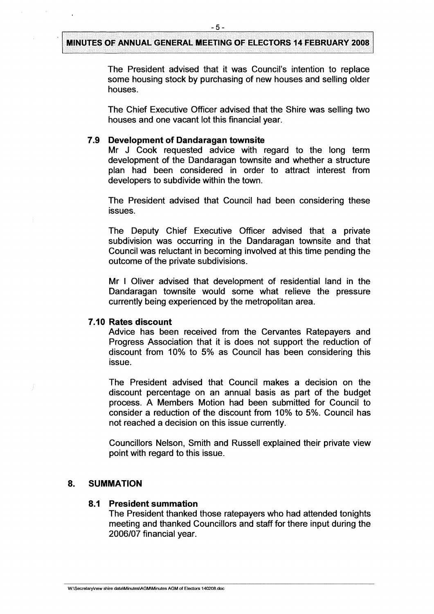The President advised that it was Council's intention to replace some housing stock by purchasing of new houses and selling older houses.

The Chief Executive Officer advised that the Shire was selling two houses and one vacant lot this financial year.

### <span id="page-6-0"></span>**7.9 Development of Dandaragan townsite**

Mr J Cook requested advice with regard to the long term development of the Dandaragan townsite and whether a structure plan had been considered in order to attract interest from developers to subdivide within the town.

The President advised that Council had been considering these issues.

The Deputy Chief Executive Officer advised that a private subdivision was occurring in the Dandaragan townsite and that Council was reluctant in becoming involved at this time pending the outcome of the private subdivisions.

Mr <sup>I</sup> Oliver advised that development of residential land in the Dandaragan townsite would some what relieve the pressure currently being experienced by the metropolitan area.

#### <span id="page-6-1"></span>**7.10 Rates discount**

Advice has been received from the Cervantes Ratepayers and Progress Association that it is does not support the reduction of discount from 10% to 5% as Council has been considering this issue.

The President advised that Council makes a decision on the discount percentage on an annual basis as part of the budget process. A Members Motion had been submitted for Council to consider a reduction of the discount from 10% to 5%. Council has not reached a decision on this issue currently.

Councillors Nelson, Smith and Russell explained their private view point with regard to this issue.

### <span id="page-6-3"></span><span id="page-6-2"></span>**8. SUMMATION**

#### **8.1 President summation**

The President thanked those ratepayers who had attended tonights meeting and thanked Councillors and staff for there input during the 2006/07 financial year.